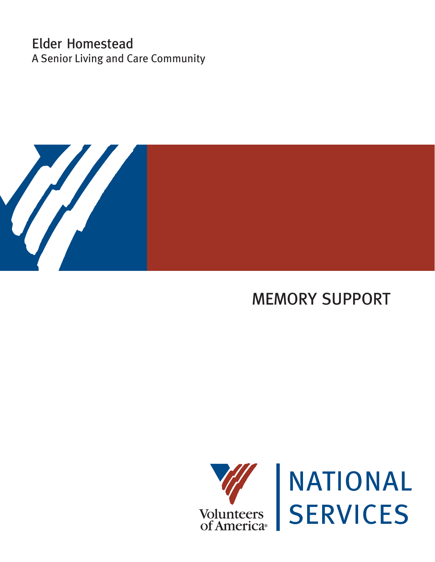# Elder Homestead A Senior Living and Care Community



# MEMORY SUPPORT



NATIONAL<br>SERVICES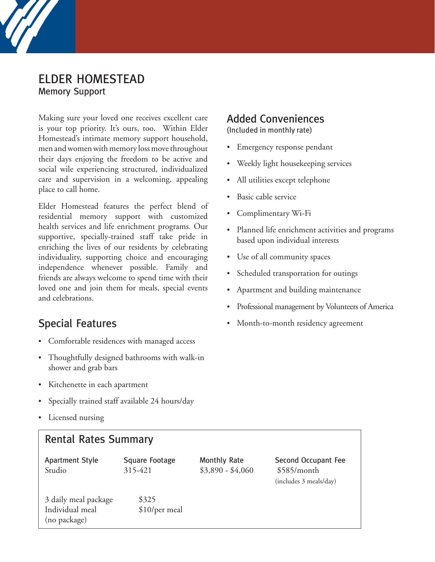

Making sure your loved one receives excellent care is your top priority. It's ours, too. Within Elder Homestead's intimate memory support household, men and women with memory loss move throughout their days enjoying the freedom to be active and social wile experiencing structured, individualized care and supervision in a welcoming, appealing place to call home.

Elder Homestead features the perfect blend of residential memory support with customized health services and life enrichment programs. Our supportive, specially-trained staff take pride in enriching the lives of our residents by celebrating individuality, supporting choice and encouraging independence whenever possible. Family and friends are always welcome to spend time with their loved one and join them for meals, special events and celebrations.

#### Special Features

- Comfortable residences with managed access
- Thoughtfully designed bathrooms with walk-in shower and grab bars
- Kitchenette in each apartment
- Specially trained staff available 24 hours/day
- Licensed nursing

#### Rental Rates Summary

Studio 315-421 \$3,890 - \$4,060 \$585/month

Apartment Style Square Footage Monthly Rate Second Occupant Fee (includes 3 meals/day)

#### Added Conveniences

(Included in monthly rate)

- Emergency response pendant
- Weekly light housekeeping services
- All utilities except telephone
- Basic cable service
- Complimentary Wi-Fi
- Planned life enrichment activities and programs based upon individual interests
- Use of all community spaces
- Scheduled transportation for outings
- Apartment and building maintenance
- Professional management by Volunteers of America
- Month-to-month residency agreement

3 daily meal package \$325 Individual meal \$10/per meal (no package)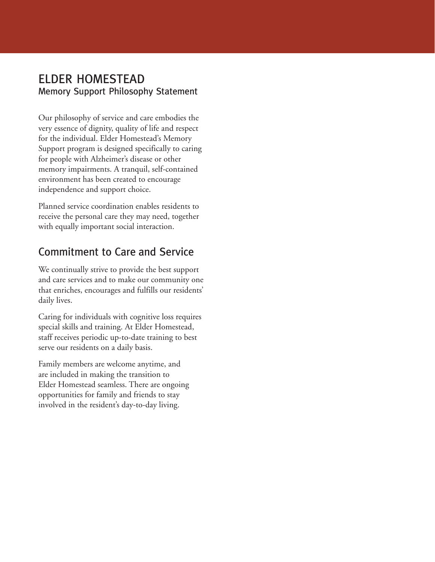## ELDER HOMESTEAD Memory Support Philosophy Statement

Our philosophy of service and care embodies the very essence of dignity, quality of life and respect for the individual. Elder Homestead's Memory Support program is designed specifically to caring for people with Alzheimer's disease or other memory impairments. A tranquil, self-contained environment has been created to encourage independence and support choice.

Planned service coordination enables residents to receive the personal care they may need, together with equally important social interaction.

# Commitment to Care and Service

We continually strive to provide the best support and care services and to make our community one that enriches, encourages and fulfills our residents' daily lives.

Caring for individuals with cognitive loss requires special skills and training. At Elder Homestead, staff receives periodic up-to-date training to best serve our residents on a daily basis.

Family members are welcome anytime, and are included in making the transition to Elder Homestead seamless. There are ongoing opportunities for family and friends to stay involved in the resident's day-to-day living.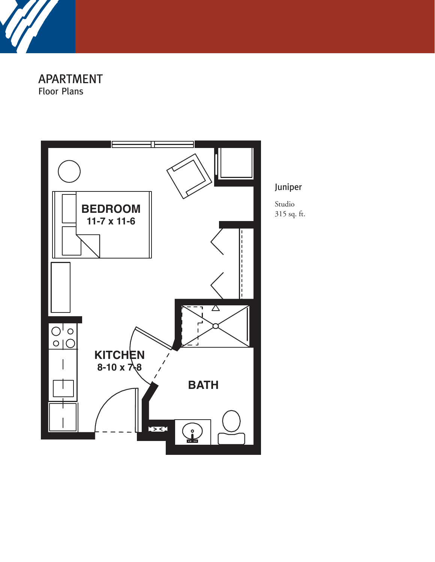

APARTMENT Floor Plans



Juniper

Studio 315 sq. ft.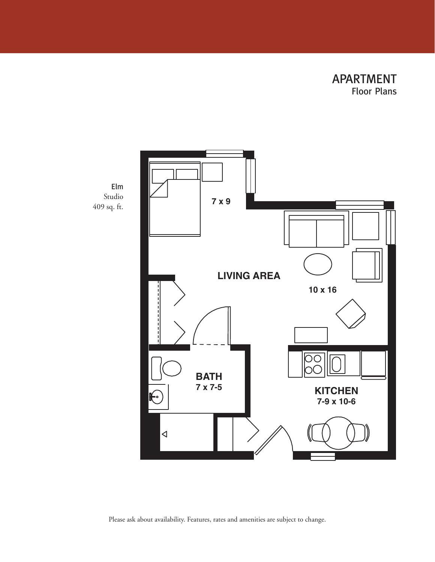APARTMENT Floor Plans





Please ask about availability. Features, rates and amenities are subject to change.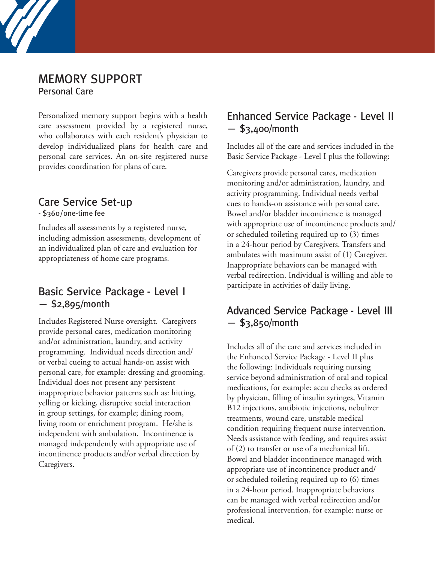#### MEMORY SUPPORT Personal Care

Personalized memory support begins with a health care assessment provided by a registered nurse, who collaborates with each resident's physician to develop individualized plans for health care and personal care services. An on-site registered nurse provides coordination for plans of care.

## Care Service Set-up

- \$360/one-time fee

Includes all assessments by a registered nurse, including admission assessments, development of an individualized plan of care and evaluation for appropriateness of home care programs.

### Basic Service Package - Level I — \$2,895/month

Includes Registered Nurse oversight. Caregivers provide personal cares, medication monitoring and/or administration, laundry, and activity programming. Individual needs direction and/ or verbal cueing to actual hands-on assist with personal care, for example: dressing and grooming. Individual does not present any persistent inappropriate behavior patterns such as: hitting, yelling or kicking, disruptive social interaction in group settings, for example; dining room, living room or enrichment program. He/she is independent with ambulation. Incontinence is managed independently with appropriate use of incontinence products and/or verbal direction by Caregivers.

### Enhanced Service Package - Level II  $-$ \$3,400/month

Includes all of the care and services included in the Basic Service Package - Level I plus the following:

Caregivers provide personal cares, medication monitoring and/or administration, laundry, and activity programming. Individual needs verbal cues to hands-on assistance with personal care. Bowel and/or bladder incontinence is managed with appropriate use of incontinence products and/ or scheduled toileting required up to (3) times in a 24-hour period by Caregivers. Transfers and ambulates with maximum assist of (1) Caregiver. Inappropriate behaviors can be managed with verbal redirection. Individual is willing and able to participate in activities of daily living.

## Advanced Service Package - Level III  $-$  \$3,850/month

Includes all of the care and services included in the Enhanced Service Package - Level II plus the following: Individuals requiring nursing service beyond administration of oral and topical medications, for example: accu checks as ordered by physician, filling of insulin syringes, Vitamin B12 injections, antibiotic injections, nebulizer treatments, wound care, unstable medical condition requiring frequent nurse intervention. Needs assistance with feeding, and requires assist of (2) to transfer or use of a mechanical lift. Bowel and bladder incontinence managed with appropriate use of incontinence product and/ or scheduled toileting required up to (6) times in a 24-hour period. Inappropriate behaviors can be managed with verbal redirection and/or professional intervention, for example: nurse or medical.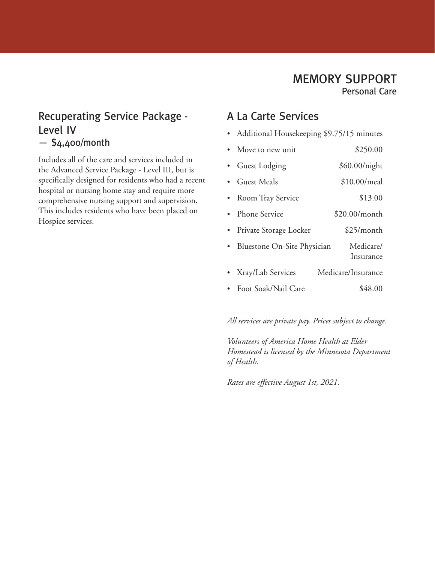#### Recuperating Service Package - Level IV  $-$  \$4,400/month

Includes all of the care and services included in the Advanced Service Package - Level III, but is specifically designed for residents who had a recent hospital or nursing home stay and require more comprehensive nursing support and supervision. This includes residents who have been placed on Hospice services.

## A La Carte Services

- Additional Housekeeping \$9.75/15 minutes
- Move to new unit \$250.00
- Guest Lodging \$60.00/night
- Guest Meals \$10.00/meal
- Room Tray Service \$13.00
- Phone Service \$20.00/month
- Private Storage Locker \$25/month
- Bluestone On-Site Physician Medicare/ Insurance
- Xray/Lab Services Medicare/Insurance
- Foot Soak/Nail Care \$48.00

*All services are private pay. Prices subject to change.*

*Volunteers of America Home Health at Elder Homestead is licensed by the Minnesota Department of Health.*

*Rates are effective August 1st, 2021.*